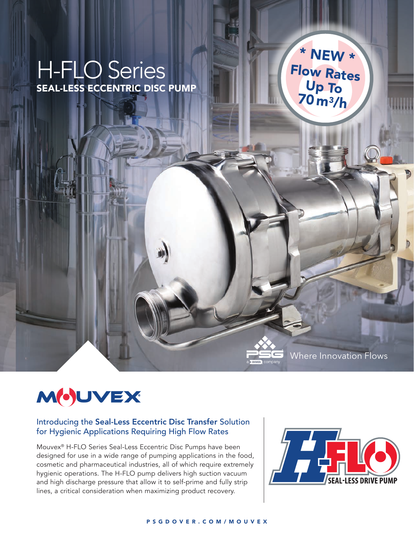## H-FLO Series SEAL-LESS ECCENTRIC DISC PUMP

\* NEW \* Flow Rates Up To 70 m3/h

# MOUVEX

#### Introducing the Seal-Less Eccentric Disc Transfer Solution for Hygienic Applications Requiring High Flow Rates

Mouvex® H-FLO Series Seal-Less Eccentric Disc Pumps have been designed for use in a wide range of pumping applications in the food, cosmetic and pharmaceutical industries, all of which require extremely hygienic operations. The H-FLO pump delivers high suction vacuum and high discharge pressure that allow it to self-prime and fully strip lines, a critical consideration when maximizing product recovery.



Where Innovation Flows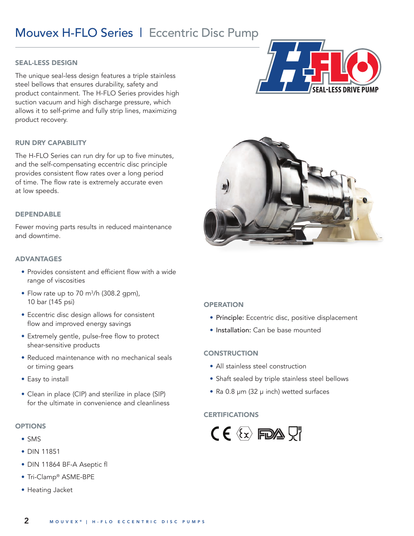### Mouvex H-FLO Series | Eccentric Disc Pump

#### SEAL-LESS DESIGN

The unique seal-less design features a triple stainless steel bellows that ensures durability, safety and product containment. The H-FLO Series provides high suction vacuum and high discharge pressure, which allows it to self-prime and fully strip lines, maximizing product recovery.

#### RUN DRY CAPABILITY

The H-FLO Series can run dry for up to five minutes, and the self-compensating eccentric disc principle provides consistent flow rates over a long period of time. The flow rate is extremely accurate even at low speeds.

#### DEPENDABLE

Fewer moving parts results in reduced maintenance and downtime.

#### ADVANTAGES

- Provides consistent and efficient flow with a wide range of viscosities
- Flow rate up to 70  $\mathrm{m}^3$ /h (308.2 gpm), 10 bar (145 psi)
- Eccentric disc design allows for consistent flow and improved energy savings
- Extremely gentle, pulse-free flow to protect shear-sensitive products
- Reduced maintenance with no mechanical seals or timing gears
- Easy to install
- Clean in place (CIP) and sterilize in place (SIP) for the ultimate in convenience and cleanliness

#### **OPTIONS**

- SMS
- DIN 11851
- DIN 11864 BF-A Aseptic fl
- Tri-Clamp® ASME-BPE
- Heating Jacket





#### **OPERATION**

- Principle: Eccentric disc, positive displacement
- Installation: Can be base mounted

#### **CONSTRUCTION**

- All stainless steel construction
- Shaft sealed by triple stainless steel bellows
- Ra 0.8 μm (32 μ inch) wetted surfaces

#### **CERTIFICATIONS**

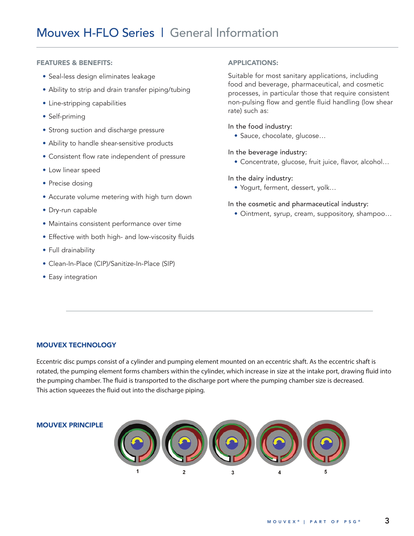#### FEATURES & BENEFITS:

- Seal-less design eliminates leakage
- Ability to strip and drain transfer piping/tubing
- Line-stripping capabilities
- Self-priming
- Strong suction and discharge pressure
- Ability to handle shear-sensitive products
- Consistent flow rate independent of pressure
- Low linear speed
- Precise dosing
- Accurate volume metering with high turn down
- Dry-run capable
- Maintains consistent performance over time
- Effective with both high- and low-viscosity fluids
- Full drainability
- Clean-In-Place (CIP)/Sanitize-In-Place (SIP)
- Easy integration

#### APPLICATIONS:

Suitable for most sanitary applications, including food and beverage, pharmaceutical, and cosmetic processes, in particular those that require consistent non-pulsing flow and gentle fluid handling (low shear rate) such as:

#### In the food industry:

• Sauce, chocolate, glucose…

In the beverage industry:

• Concentrate, glucose, fruit juice, flavor, alcohol…

In the dairy industry:

• Yogurt, ferment, dessert, yolk…

#### In the cosmetic and pharmaceutical industry:

• Ointment, syrup, cream, suppository, shampoo…

#### MOUVEX TECHNOLOGY

Eccentric disc pumps consist of a cylinder and pumping element mounted on an eccentric shaft. As the eccentric shaft is rotated, the pumping element forms chambers within the cylinder, which increase in size at the intake port, drawing fluid into the pumping chamber. The fluid is transported to the discharge port where the pumping chamber size is decreased. This action squeezes the fluid out into the discharge piping.

#### MOUVEX PRINCIPLE